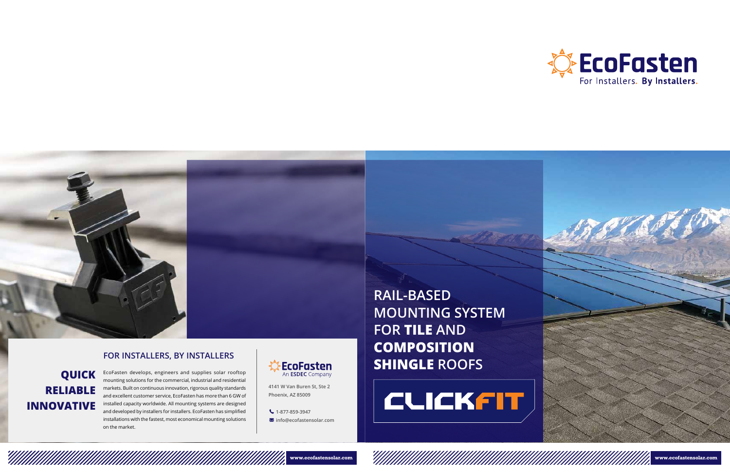# **RAIL-BASED MOUNTING SYSTEM FOR TILE AND COMPOSITION SHINGLE ROOFS**

# **CLICKFIT**





**4141 W Van Buren St, Ste 2 Phoenix, AZ 85009**

**1-877-859-3947**

**info@ecofastensolar.com**

## **QUICK RELIABLE INNOVATIVE**

EcoFasten develops, engineers and supplies solar rooftop mounting solutions for the commercial, industrial and residential markets. Built on continuous innovation, rigorous quality standards and excellent customer service, EcoFasten has more than 6 GW of installed capacity worldwide. All mounting systems are designed and developed by installers for installers. EcoFasten has simplified installations with the fastest, most economical mounting solutions on the market.







### **FOR INSTALLERS, BY INSTALLERS**

<u>Villa Allan Allan Allan Allan Allan Allan Allan Allan Allan Allan Allan Allan Allan Allan Allan Al</u>